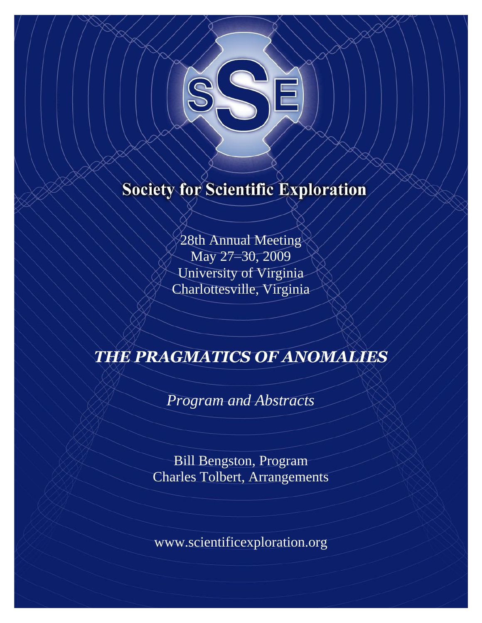

# **Society for Scientific Exploration**

28th Annual Meeting May 27–30, 2009 University of Virginia Charlottesville, Virginia

# *THE PRAGMATICS OF ANOMALIES*

*Program and Abstracts*

Bill Bengston, Program Charles Tolbert, Arrangements

www.scientificexploration.org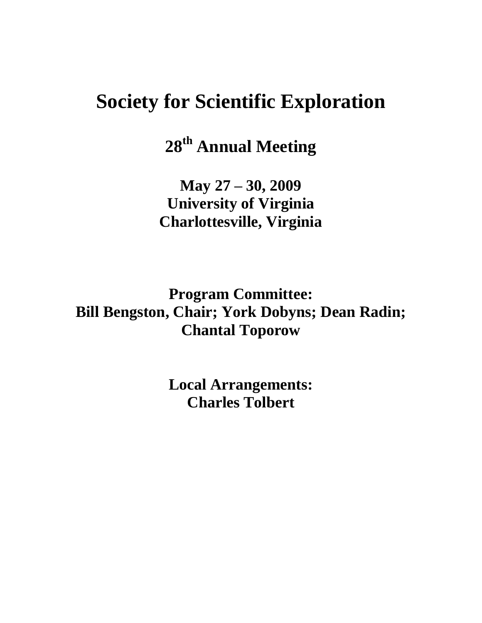# **Society for Scientific Exploration**

**28th Annual Meeting**

**May 27 – 30, 2009 University of Virginia Charlottesville, Virginia**

**Program Committee: Bill Bengston, Chair; York Dobyns; Dean Radin; Chantal Toporow**

> **Local Arrangements: Charles Tolbert**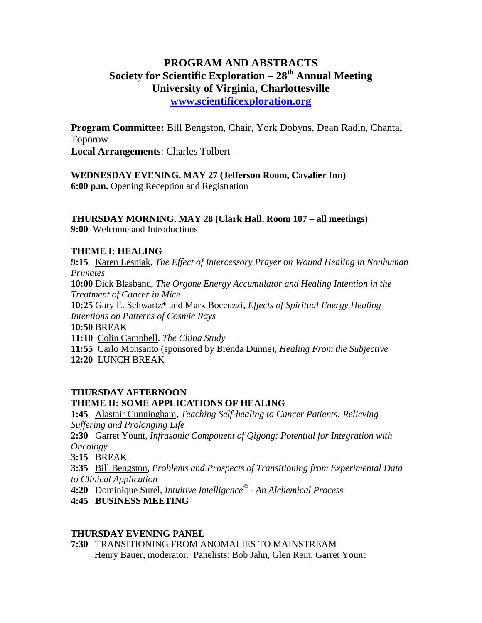# **PROGRAM AND ABSTRACTS Society for Scientific Exploration – 28th Annual Meeting University of Virginia, Charlottesville [www.scientificexploration.org](http://www.scientificexploration.org/)**

**Program Committee:** Bill Bengston, Chair, York Dobyns, Dean Radin, Chantal Toporow **Local Arrangements**: Charles Tolbert

**WEDNESDAY EVENING, MAY 27 (Jefferson Room, Cavalier Inn)**

**6:00 p.m.** Opening Reception and Registration

# **THURSDAY MORNING, MAY 28 (Clark Hall, Room 107 – all meetings)**

**9:00** Welcome and Introductions

## **THEME I: HEALING**

**9:15** Karen Lesniak, *The Effect of Intercessory Prayer on Wound Healing in Nonhuman Primates*

**10:00** Dick Blasband, *The Orgone Energy Accumulator and Healing Intention in the Treatment of Cancer in Mice*

**10:25** Gary E. Schwartz\* and Mark Boccuzzi, *Effects of Spiritual Energy Healing Intentions on Patterns of Cosmic Rays*

**10:50** BREAK

**11:10** Colin Campbell, *The China Study*

**11:55** Carlo Monsanto (sponsored by Brenda Dunne), *Healing From the Subjective* **12:20** LUNCH BREAK

## **THURSDAY AFTERNOON THEME II: SOME APPLICATIONS OF HEALING**

**1:45** Alastair Cunningham, *Teaching Self-healing to Cancer Patients: Relieving Suffering and Prolonging Life*

**2:30** Garret Yount, *Infrasonic Component of Qigong: Potential for Integration with Oncology*

**3:15** BREAK

**3:35** Bill Bengston, *Problems and Prospects of Transitioning from Experimental Data to Clinical Application*

**4:20** Dominique Surel, *Intuitive Intelligence© - An Alchemical Process*

# **4:45 BUSINESS MEETING**

# **THURSDAY EVENING PANEL**

**7:30** TRANSITIONING FROM ANOMALIES TO MAINSTREAM Henry Bauer, moderator. Panelists: Bob Jahn, Glen Rein, Garret Yount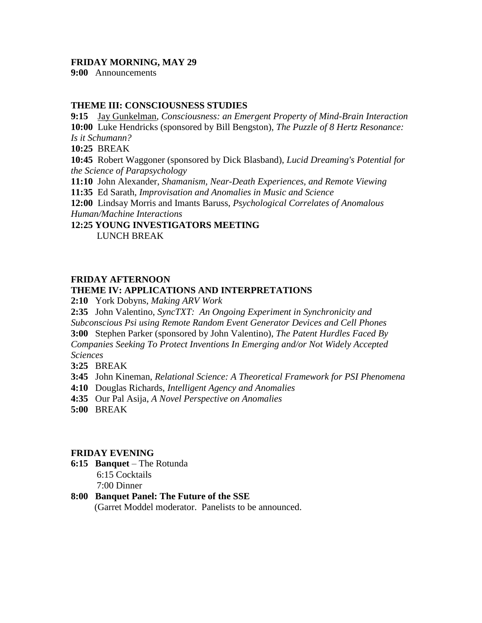#### **FRIDAY MORNING, MAY 29**

**9:00** Announcements

#### **THEME III: CONSCIOUSNESS STUDIES**

**9:15** Jay Gunkelman, *Consciousness: an Emergent Property of Mind-Brain Interaction* **10:00** Luke Hendricks (sponsored by Bill Bengston), *The Puzzle of 8 Hertz Resonance: Is it Schumann?*

**10:25** BREAK

**10:45** Robert Waggoner (sponsored by Dick Blasband), *Lucid Dreaming's Potential for the Science of Parapsychology*

**11:10** John Alexander, *Shamanism, Near-Death Experiences, and Remote Viewing*

**11:35** Ed Sarath, *Improvisation and Anomalies in Music and Science*

**12:00** Lindsay Morris and Imants Baruss, *Psychological Correlates of Anomalous Human/Machine Interactions*

#### **12:25 YOUNG INVESTIGATORS MEETING** LUNCH BREAK

#### **FRIDAY AFTERNOON**

#### **THEME IV: APPLICATIONS AND INTERPRETATIONS**

**2:10** York Dobyns, *Making ARV Work*

**2:35** John Valentino, *SyncTXT: An Ongoing Experiment in Synchronicity and* 

*Subconscious Psi using Remote Random Event Generator Devices and Cell Phones*

**3:00** Stephen Parker (sponsored by John Valentino), *The Patent Hurdles Faced By Companies Seeking To Protect Inventions In Emerging and/or Not Widely Accepted* 

*Sciences*

**3:25** BREAK

**3:45** John Kineman, *Relational Science: A Theoretical Framework for PSI Phenomena*

- **4:10** Douglas Richards, *Intelligent Agency and Anomalies*
- **4:35** Our Pal Asija, *A Novel Perspective on Anomalies*

**5:00** BREAK

#### **FRIDAY EVENING**

**6:15 Banquet** – The Rotunda 6:15 Cocktails 7:00 Dinner

## **8:00 Banquet Panel: The Future of the SSE**

(Garret Moddel moderator. Panelists to be announced.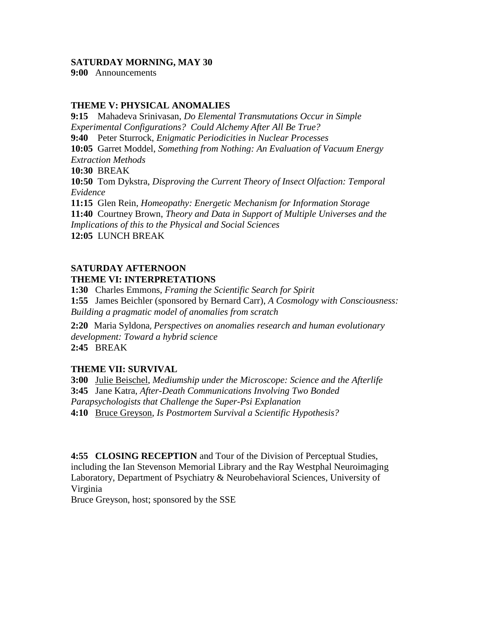#### **SATURDAY MORNING, MAY 30**

**9:00** Announcements

#### **THEME V: PHYSICAL ANOMALIES**

**9:15** Mahadeva Srinivasan, *Do Elemental Transmutations Occur in Simple Experimental Configurations? Could Alchemy After All Be True?* **9:40** Peter Sturrock, *Enigmatic Periodicities in Nuclear Processes* **10:05** Garret Moddel, *Something from Nothing: An Evaluation of Vacuum Energy Extraction Methods* **10:30** BREAK **10:50** Tom Dykstra, *Disproving the Current Theory of Insect Olfaction: Temporal Evidence* **11:15** Glen Rein, *Homeopathy: Energetic Mechanism for Information Storage* **11:40** Courtney Brown, *Theory and Data in Support of Multiple Universes and the Implications of this to the Physical and Social Sciences* **12:05** LUNCH BREAK

## **SATURDAY AFTERNOON THEME VI: INTERPRETATIONS**

**1:30** Charles Emmons, *Framing the Scientific Search for Spirit* **1:55** James Beichler (sponsored by Bernard Carr), *A Cosmology with Consciousness: Building a pragmatic model of anomalies from scratch*

**2:20** Maria Syldona, *Perspectives on anomalies research and human evolutionary development: Toward a hybrid science* **2:45** BREAK

## **THEME VII: SURVIVAL**

**3:00** Julie Beischel, *Mediumship under the Microscope: Science and the Afterlife* **3:45** Jane Katra, *After-Death Communications Involving Two Bonded Parapsychologists that Challenge the Super-Psi Explanation* **4:10** Bruce Greyson, *Is Postmortem Survival a Scientific Hypothesis?*

**4:55 CLOSING RECEPTION** and Tour of the Division of Perceptual Studies, including the Ian Stevenson Memorial Library and the Ray Westphal Neuroimaging Laboratory, Department of Psychiatry & Neurobehavioral Sciences, University of Virginia

Bruce Greyson, host; sponsored by the SSE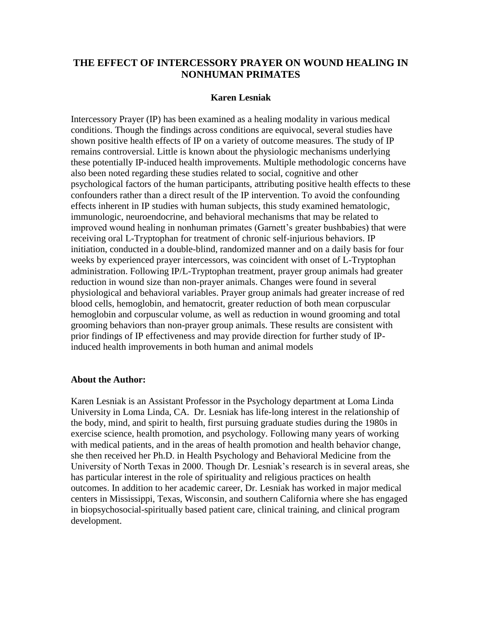## **THE EFFECT OF INTERCESSORY PRAYER ON WOUND HEALING IN NONHUMAN PRIMATES**

#### **Karen Lesniak**

Intercessory Prayer (IP) has been examined as a healing modality in various medical conditions. Though the findings across conditions are equivocal, several studies have shown positive health effects of IP on a variety of outcome measures. The study of IP remains controversial. Little is known about the physiologic mechanisms underlying these potentially IP-induced health improvements. Multiple methodologic concerns have also been noted regarding these studies related to social, cognitive and other psychological factors of the human participants, attributing positive health effects to these confounders rather than a direct result of the IP intervention. To avoid the confounding effects inherent in IP studies with human subjects, this study examined hematologic, immunologic, neuroendocrine, and behavioral mechanisms that may be related to improved wound healing in nonhuman primates (Garnett's greater bushbabies) that were receiving oral L-Tryptophan for treatment of chronic self-injurious behaviors. IP initiation, conducted in a double-blind, randomized manner and on a daily basis for four weeks by experienced prayer intercessors, was coincident with onset of L-Tryptophan administration. Following IP/L-Tryptophan treatment, prayer group animals had greater reduction in wound size than non-prayer animals. Changes were found in several physiological and behavioral variables. Prayer group animals had greater increase of red blood cells, hemoglobin, and hematocrit, greater reduction of both mean corpuscular hemoglobin and corpuscular volume, as well as reduction in wound grooming and total grooming behaviors than non-prayer group animals. These results are consistent with prior findings of IP effectiveness and may provide direction for further study of IPinduced health improvements in both human and animal models

#### **About the Author:**

Karen Lesniak is an Assistant Professor in the Psychology department at Loma Linda University in Loma Linda, CA. Dr. Lesniak has life-long interest in the relationship of the body, mind, and spirit to health, first pursuing graduate studies during the 1980s in exercise science, health promotion, and psychology. Following many years of working with medical patients, and in the areas of health promotion and health behavior change, she then received her Ph.D. in Health Psychology and Behavioral Medicine from the University of North Texas in 2000. Though Dr. Lesniak's research is in several areas, she has particular interest in the role of spirituality and religious practices on health outcomes. In addition to her academic career, Dr. Lesniak has worked in major medical centers in Mississippi, Texas, Wisconsin, and southern California where she has engaged in biopsychosocial-spiritually based patient care, clinical training, and clinical program development.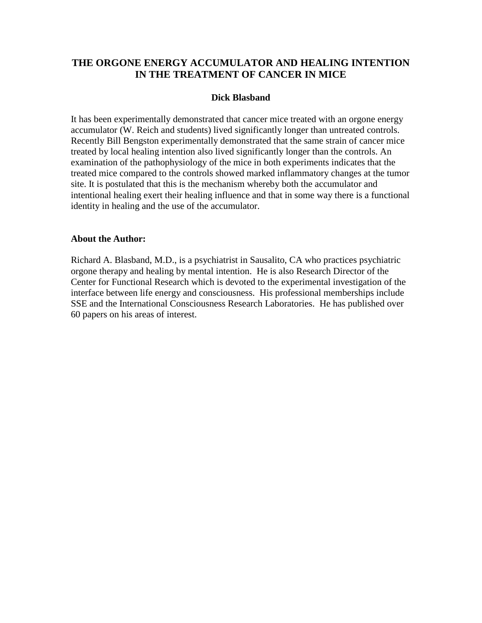# **THE ORGONE ENERGY ACCUMULATOR AND HEALING INTENTION IN THE TREATMENT OF CANCER IN MICE**

## **Dick Blasband**

It has been experimentally demonstrated that cancer mice treated with an orgone energy accumulator (W. Reich and students) lived significantly longer than untreated controls. Recently Bill Bengston experimentally demonstrated that the same strain of cancer mice treated by local healing intention also lived significantly longer than the controls. An examination of the pathophysiology of the mice in both experiments indicates that the treated mice compared to the controls showed marked inflammatory changes at the tumor site. It is postulated that this is the mechanism whereby both the accumulator and intentional healing exert their healing influence and that in some way there is a functional identity in healing and the use of the accumulator.

#### **About the Author:**

Richard A. Blasband, M.D., is a psychiatrist in Sausalito, CA who practices psychiatric orgone therapy and healing by mental intention. He is also Research Director of the Center for Functional Research which is devoted to the experimental investigation of the interface between life energy and consciousness. His professional memberships include SSE and the International Consciousness Research Laboratories. He has published over 60 papers on his areas of interest.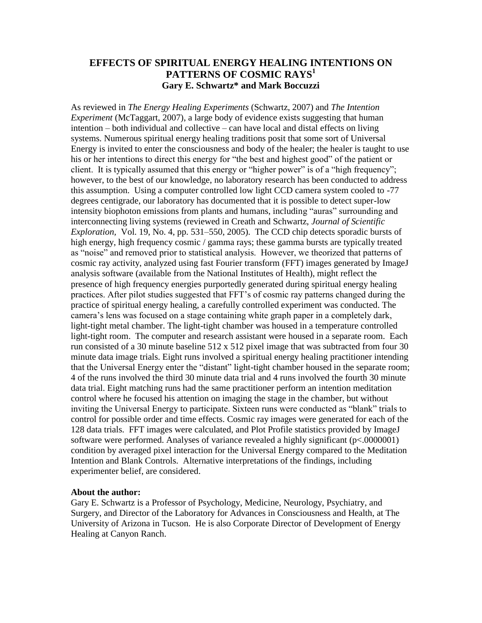## **EFFECTS OF SPIRITUAL ENERGY HEALING INTENTIONS ON PATTERNS OF COSMIC RAYS<sup>1</sup> Gary E. Schwartz\* and Mark Boccuzzi**

As reviewed in *The Energy Healing Experiments* (Schwartz, 2007) and *The Intention Experiment* (McTaggart, 2007), a large body of evidence exists suggesting that human intention – both individual and collective – can have local and distal effects on living systems. Numerous spiritual energy healing traditions posit that some sort of Universal Energy is invited to enter the consciousness and body of the healer; the healer is taught to use his or her intentions to direct this energy for "the best and highest good" of the patient or client. It is typically assumed that this energy or "higher power" is of a "high frequency"; however, to the best of our knowledge, no laboratory research has been conducted to address this assumption. Using a computer controlled low light CCD camera system cooled to -77 degrees centigrade, our laboratory has documented that it is possible to detect super-low intensity biophoton emissions from plants and humans, including "auras" surrounding and interconnecting living systems (reviewed in Creath and Schwartz, *Journal of Scientific Exploration,* Vol. 19, No. 4, pp. 531–550, 2005). The CCD chip detects sporadic bursts of high energy, high frequency cosmic / gamma rays; these gamma bursts are typically treated as "noise" and removed prior to statistical analysis. However, we theorized that patterns of cosmic ray activity, analyzed using fast Fourier transform (FFT) images generated by ImageJ analysis software (available from the National Institutes of Health), might reflect the presence of high frequency energies purportedly generated during spiritual energy healing practices. After pilot studies suggested that FFT's of cosmic ray patterns changed during the practice of spiritual energy healing, a carefully controlled experiment was conducted. The camera's lens was focused on a stage containing white graph paper in a completely dark, light-tight metal chamber. The light-tight chamber was housed in a temperature controlled light-tight room. The computer and research assistant were housed in a separate room. Each run consisted of a 30 minute baseline 512 x 512 pixel image that was subtracted from four 30 minute data image trials. Eight runs involved a spiritual energy healing practitioner intending that the Universal Energy enter the "distant" light-tight chamber housed in the separate room; 4 of the runs involved the third 30 minute data trial and 4 runs involved the fourth 30 minute data trial. Eight matching runs had the same practitioner perform an intention meditation control where he focused his attention on imaging the stage in the chamber, but without inviting the Universal Energy to participate. Sixteen runs were conducted as "blank" trials to control for possible order and time effects. Cosmic ray images were generated for each of the 128 data trials. FFT images were calculated, and Plot Profile statistics provided by ImageJ software were performed. Analyses of variance revealed a highly significant (p<.0000001) condition by averaged pixel interaction for the Universal Energy compared to the Meditation Intention and Blank Controls. Alternative interpretations of the findings, including experimenter belief, are considered.

#### **About the author:**

Gary E. Schwartz is a Professor of Psychology, Medicine, Neurology, Psychiatry, and Surgery, and Director of the Laboratory for Advances in Consciousness and Health, at The University of Arizona in Tucson. He is also Corporate Director of Development of Energy Healing at Canyon Ranch.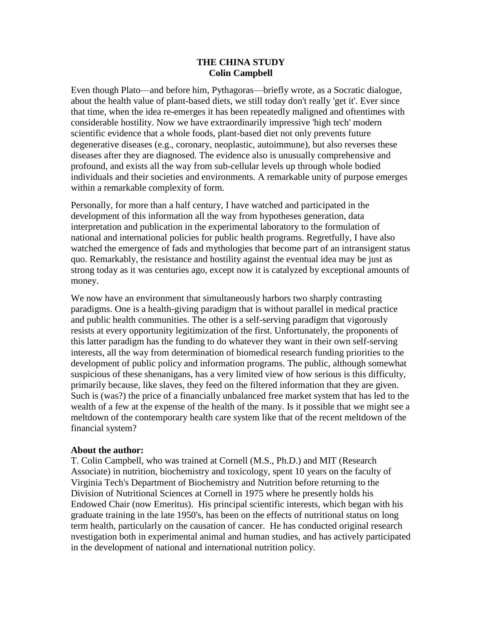## **THE CHINA STUDY Colin Campbell**

Even though Plato—and before him, Pythagoras—briefly wrote, as a Socratic dialogue, about the health value of plant-based diets, we still today don't really 'get it'. Ever since that time, when the idea re-emerges it has been repeatedly maligned and oftentimes with considerable hostility. Now we have extraordinarily impressive 'high tech' modern scientific evidence that a whole foods, plant-based diet not only prevents future degenerative diseases (e.g., coronary, neoplastic, autoimmune), but also reverses these diseases after they are diagnosed. The evidence also is unusually comprehensive and profound, and exists all the way from sub-cellular levels up through whole bodied individuals and their societies and environments. A remarkable unity of purpose emerges within a remarkable complexity of form.

Personally, for more than a half century, I have watched and participated in the development of this information all the way from hypotheses generation, data interpretation and publication in the experimental laboratory to the formulation of national and international policies for public health programs. Regretfully, I have also watched the emergence of fads and mythologies that become part of an intransigent status quo. Remarkably, the resistance and hostility against the eventual idea may be just as strong today as it was centuries ago, except now it is catalyzed by exceptional amounts of money.

We now have an environment that simultaneously harbors two sharply contrasting paradigms. One is a health-giving paradigm that is without parallel in medical practice and public health communities. The other is a self-serving paradigm that vigorously resists at every opportunity legitimization of the first. Unfortunately, the proponents of this latter paradigm has the funding to do whatever they want in their own self-serving interests, all the way from determination of biomedical research funding priorities to the development of public policy and information programs. The public, although somewhat suspicious of these shenanigans, has a very limited view of how serious is this difficulty, primarily because, like slaves, they feed on the filtered information that they are given. Such is (was?) the price of a financially unbalanced free market system that has led to the wealth of a few at the expense of the health of the many. Is it possible that we might see a meltdown of the contemporary health care system like that of the recent meltdown of the financial system?

#### **About the author:**

T. Colin Campbell, who was trained at Cornell (M.S., Ph.D.) and MIT (Research Associate) in nutrition, biochemistry and toxicology, spent 10 years on the faculty of Virginia Tech's Department of Biochemistry and Nutrition before returning to the Division of Nutritional Sciences at Cornell in 1975 where he presently holds his Endowed Chair (now Emeritus). His principal scientific interests, which began with his graduate training in the late 1950's, has been on the effects of nutritional status on long term health, particularly on the causation of cancer. He has conducted original research nvestigation both in experimental animal and human studies, and has actively participated in the development of national and international nutrition policy.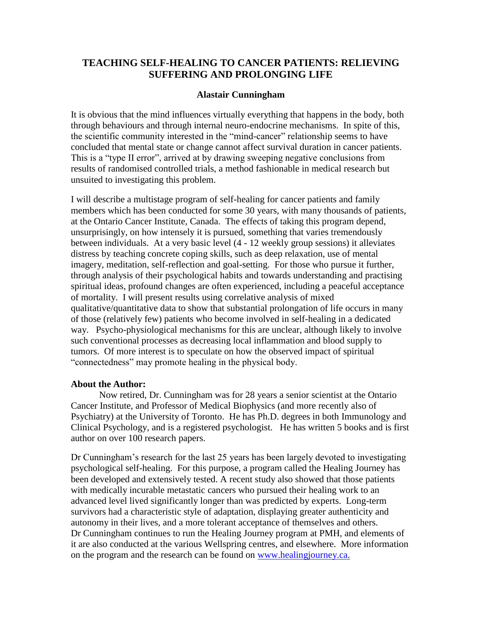# **TEACHING SELF-HEALING TO CANCER PATIENTS: RELIEVING SUFFERING AND PROLONGING LIFE**

## **Alastair Cunningham**

It is obvious that the mind influences virtually everything that happens in the body, both through behaviours and through internal neuro-endocrine mechanisms. In spite of this, the scientific community interested in the "mind-cancer" relationship seems to have concluded that mental state or change cannot affect survival duration in cancer patients. This is a "type II error", arrived at by drawing sweeping negative conclusions from results of randomised controlled trials, a method fashionable in medical research but unsuited to investigating this problem.

I will describe a multistage program of self-healing for cancer patients and family members which has been conducted for some 30 years, with many thousands of patients, at the Ontario Cancer Institute, Canada. The effects of taking this program depend, unsurprisingly, on how intensely it is pursued, something that varies tremendously between individuals. At a very basic level (4 - 12 weekly group sessions) it alleviates distress by teaching concrete coping skills, such as deep relaxation, use of mental imagery, meditation, self-reflection and goal-setting. For those who pursue it further, through analysis of their psychological habits and towards understanding and practising spiritual ideas, profound changes are often experienced, including a peaceful acceptance of mortality. I will present results using correlative analysis of mixed qualitative/quantitative data to show that substantial prolongation of life occurs in many of those (relatively few) patients who become involved in self-healing in a dedicated way. Psycho-physiological mechanisms for this are unclear, although likely to involve such conventional processes as decreasing local inflammation and blood supply to tumors. Of more interest is to speculate on how the observed impact of spiritual ―connectedness‖ may promote healing in the physical body.

#### **About the Author:**

Now retired, Dr. Cunningham was for 28 years a senior scientist at the Ontario Cancer Institute, and Professor of Medical Biophysics (and more recently also of Psychiatry) at the University of Toronto. He has Ph.D. degrees in both Immunology and Clinical Psychology, and is a registered psychologist. He has written 5 books and is first author on over 100 research papers.

Dr Cunningham's research for the last 25 years has been largely devoted to investigating psychological self-healing. For this purpose, a program called the Healing Journey has been developed and extensively tested. A recent study also showed that those patients with medically incurable metastatic cancers who pursued their healing work to an advanced level lived significantly longer than was predicted by experts. Long-term survivors had a characteristic style of adaptation, displaying greater authenticity and autonomy in their lives, and a more tolerant acceptance of themselves and others. Dr Cunningham continues to run the Healing Journey program at PMH, and elements of it are also conducted at the various Wellspring centres, and elsewhere. More information on the program and the research can be found on [www.healingjourney.ca.](http://www.healingjourney.ca/)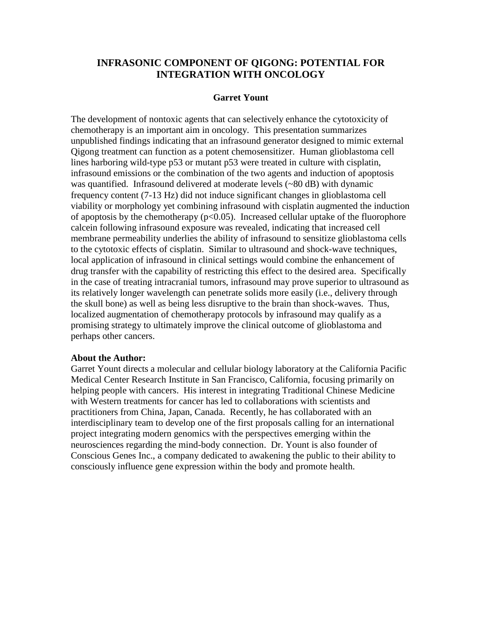## **INFRASONIC COMPONENT OF QIGONG: POTENTIAL FOR INTEGRATION WITH ONCOLOGY**

#### **Garret Yount**

The development of nontoxic agents that can selectively enhance the cytotoxicity of chemotherapy is an important aim in oncology. This presentation summarizes unpublished findings indicating that an infrasound generator designed to mimic external Qigong treatment can function as a potent chemosensitizer. Human glioblastoma cell lines harboring wild-type p53 or mutant p53 were treated in culture with cisplatin, infrasound emissions or the combination of the two agents and induction of apoptosis was quantified. Infrasound delivered at moderate levels (~80 dB) with dynamic frequency content (7-13 Hz) did not induce significant changes in glioblastoma cell viability or morphology yet combining infrasound with cisplatin augmented the induction of apoptosis by the chemotherapy  $(p<0.05)$ . Increased cellular uptake of the fluorophore calcein following infrasound exposure was revealed, indicating that increased cell membrane permeability underlies the ability of infrasound to sensitize glioblastoma cells to the cytotoxic effects of cisplatin. Similar to ultrasound and shock-wave techniques, local application of infrasound in clinical settings would combine the enhancement of drug transfer with the capability of restricting this effect to the desired area. Specifically in the case of treating intracranial tumors, infrasound may prove superior to ultrasound as its relatively longer wavelength can penetrate solids more easily (i.e., delivery through the skull bone) as well as being less disruptive to the brain than shock-waves. Thus, localized augmentation of chemotherapy protocols by infrasound may qualify as a promising strategy to ultimately improve the clinical outcome of glioblastoma and perhaps other cancers.

#### **About the Author:**

Garret Yount directs a molecular and cellular biology laboratory at the California Pacific Medical Center Research Institute in San Francisco, California, focusing primarily on helping people with cancers. His interest in integrating Traditional Chinese Medicine with Western treatments for cancer has led to collaborations with scientists and practitioners from China, Japan, Canada. Recently, he has collaborated with an interdisciplinary team to develop one of the first proposals calling for an international project integrating modern genomics with the perspectives emerging within the neurosciences regarding the mind-body connection. Dr. Yount is also founder of Conscious Genes Inc., a company dedicated to awakening the public to their ability to consciously influence gene expression within the body and promote health.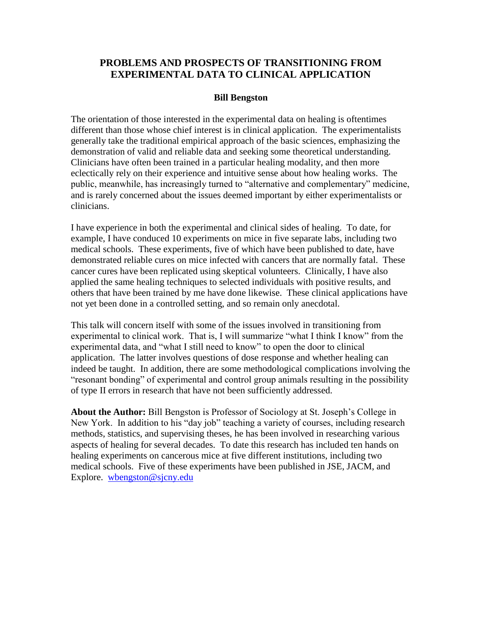# **PROBLEMS AND PROSPECTS OF TRANSITIONING FROM EXPERIMENTAL DATA TO CLINICAL APPLICATION**

## **Bill Bengston**

The orientation of those interested in the experimental data on healing is oftentimes different than those whose chief interest is in clinical application. The experimentalists generally take the traditional empirical approach of the basic sciences, emphasizing the demonstration of valid and reliable data and seeking some theoretical understanding. Clinicians have often been trained in a particular healing modality, and then more eclectically rely on their experience and intuitive sense about how healing works. The public, meanwhile, has increasingly turned to "alternative and complementary" medicine, and is rarely concerned about the issues deemed important by either experimentalists or clinicians.

I have experience in both the experimental and clinical sides of healing. To date, for example, I have conduced 10 experiments on mice in five separate labs, including two medical schools. These experiments, five of which have been published to date, have demonstrated reliable cures on mice infected with cancers that are normally fatal. These cancer cures have been replicated using skeptical volunteers. Clinically, I have also applied the same healing techniques to selected individuals with positive results, and others that have been trained by me have done likewise. These clinical applications have not yet been done in a controlled setting, and so remain only anecdotal.

This talk will concern itself with some of the issues involved in transitioning from experimental to clinical work. That is, I will summarize "what I think I know" from the experimental data, and "what I still need to know" to open the door to clinical application. The latter involves questions of dose response and whether healing can indeed be taught. In addition, there are some methodological complications involving the "resonant bonding" of experimental and control group animals resulting in the possibility of type II errors in research that have not been sufficiently addressed.

**About the Author:** Bill Bengston is Professor of Sociology at St. Joseph's College in New York. In addition to his "day job" teaching a variety of courses, including research methods, statistics, and supervising theses, he has been involved in researching various aspects of healing for several decades. To date this research has included ten hands on healing experiments on cancerous mice at five different institutions, including two medical schools. Five of these experiments have been published in JSE, JACM, and Explore. [wbengston@sjcny.edu](mailto:wbengston@sjcny.edu)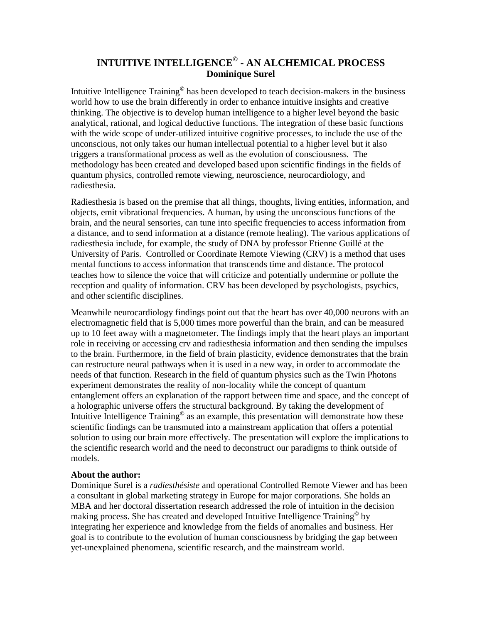# **INTUITIVE INTELLIGENCE© - AN ALCHEMICAL PROCESS Dominique Surel**

Intuitive Intelligence Training**©** has been developed to teach decision-makers in the business world how to use the brain differently in order to enhance intuitive insights and creative thinking. The objective is to develop human intelligence to a higher level beyond the basic analytical, rational, and logical deductive functions. The integration of these basic functions with the wide scope of under-utilized intuitive cognitive processes, to include the use of the unconscious, not only takes our human intellectual potential to a higher level but it also triggers a transformational process as well as the evolution of consciousness. The methodology has been created and developed based upon scientific findings in the fields of quantum physics, controlled remote viewing, neuroscience, neurocardiology, and radiesthesia.

Radiesthesia is based on the premise that all things, thoughts, living entities, information, and objects, emit vibrational frequencies. A human, by using the unconscious functions of the brain, and the neural sensories, can tune into specific frequencies to access information from a distance, and to send information at a distance (remote healing). The various applications of radiesthesia include, for example, the study of DNA by professor Etienne Guillé at the University of Paris. Controlled or Coordinate Remote Viewing (CRV) is a method that uses mental functions to access information that transcends time and distance. The protocol teaches how to silence the voice that will criticize and potentially undermine or pollute the reception and quality of information. CRV has been developed by psychologists, psychics, and other scientific disciplines.

Meanwhile neurocardiology findings point out that the heart has over 40,000 neurons with an electromagnetic field that is 5,000 times more powerful than the brain, and can be measured up to 10 feet away with a magnetometer. The findings imply that the heart plays an important role in receiving or accessing crv and radiesthesia information and then sending the impulses to the brain. Furthermore, in the field of brain plasticity, evidence demonstrates that the brain can restructure neural pathways when it is used in a new way, in order to accommodate the needs of that function. Research in the field of quantum physics such as the Twin Photons experiment demonstrates the reality of non-locality while the concept of quantum entanglement offers an explanation of the rapport between time and space, and the concept of a holographic universe offers the structural background. By taking the development of Intuitive Intelligence Training**©** as an example, this presentation will demonstrate how these scientific findings can be transmuted into a mainstream application that offers a potential solution to using our brain more effectively. The presentation will explore the implications to the scientific research world and the need to deconstruct our paradigms to think outside of models.

#### **About the author:**

Dominique Surel is a *radiesthésiste* and operational Controlled Remote Viewer and has been a consultant in global marketing strategy in Europe for major corporations. She holds an MBA and her doctoral dissertation research addressed the role of intuition in the decision making process. She has created and developed Intuitive Intelligence Training**©** by integrating her experience and knowledge from the fields of anomalies and business. Her goal is to contribute to the evolution of human consciousness by bridging the gap between yet-unexplained phenomena, scientific research, and the mainstream world.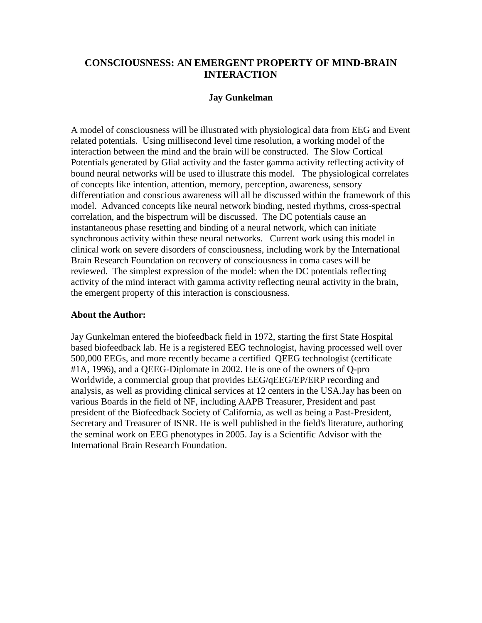## **CONSCIOUSNESS: AN EMERGENT PROPERTY OF MIND-BRAIN INTERACTION**

## **Jay Gunkelman**

A model of consciousness will be illustrated with physiological data from EEG and Event related potentials. Using millisecond level time resolution, a working model of the interaction between the mind and the brain will be constructed. The Slow Cortical Potentials generated by Glial activity and the faster gamma activity reflecting activity of bound neural networks will be used to illustrate this model. The physiological correlates of concepts like intention, attention, memory, perception, awareness, sensory differentiation and conscious awareness will all be discussed within the framework of this model. Advanced concepts like neural network binding, nested rhythms, cross-spectral correlation, and the bispectrum will be discussed. The DC potentials cause an instantaneous phase resetting and binding of a neural network, which can initiate synchronous activity within these neural networks. Current work using this model in clinical work on severe disorders of consciousness, including work by the International Brain Research Foundation on recovery of consciousness in coma cases will be reviewed. The simplest expression of the model: when the DC potentials reflecting activity of the mind interact with gamma activity reflecting neural activity in the brain, the emergent property of this interaction is consciousness.

#### **About the Author:**

Jay Gunkelman entered the biofeedback field in 1972, starting the first State Hospital based biofeedback lab. He is a registered EEG technologist, having processed well over 500,000 EEGs, and more recently became a certified QEEG technologist (certificate #1A, 1996), and a QEEG-Diplomate in 2002. He is one of the owners of Q-pro Worldwide, a commercial group that provides EEG/qEEG/EP/ERP recording and analysis, as well as providing clinical services at 12 centers in the USA.Jay has been on various Boards in the field of NF, including AAPB Treasurer, President and past president of the Biofeedback Society of California, as well as being a Past-President, Secretary and Treasurer of ISNR. He is well published in the field's literature, authoring the seminal work on EEG phenotypes in 2005. Jay is a Scientific Advisor with the International Brain Research Foundation.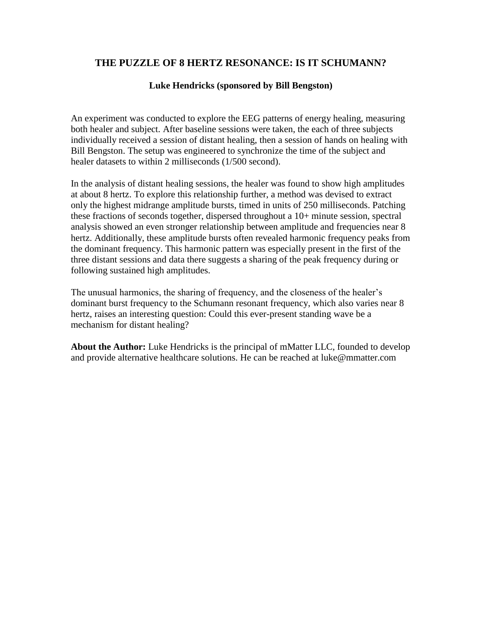# **THE PUZZLE OF 8 HERTZ RESONANCE: IS IT SCHUMANN?**

## **Luke Hendricks (sponsored by Bill Bengston)**

An experiment was conducted to explore the EEG patterns of energy healing, measuring both healer and subject. After baseline sessions were taken, the each of three subjects individually received a session of distant healing, then a session of hands on healing with Bill Bengston. The setup was engineered to synchronize the time of the subject and healer datasets to within 2 milliseconds (1/500 second).

In the analysis of distant healing sessions, the healer was found to show high amplitudes at about 8 hertz. To explore this relationship further, a method was devised to extract only the highest midrange amplitude bursts, timed in units of 250 milliseconds. Patching these fractions of seconds together, dispersed throughout a 10+ minute session, spectral analysis showed an even stronger relationship between amplitude and frequencies near 8 hertz. Additionally, these amplitude bursts often revealed harmonic frequency peaks from the dominant frequency. This harmonic pattern was especially present in the first of the three distant sessions and data there suggests a sharing of the peak frequency during or following sustained high amplitudes.

The unusual harmonics, the sharing of frequency, and the closeness of the healer's dominant burst frequency to the Schumann resonant frequency, which also varies near 8 hertz, raises an interesting question: Could this ever-present standing wave be a mechanism for distant healing?

**About the Author:** Luke Hendricks is the principal of mMatter LLC, founded to develop and provide alternative healthcare solutions. He can be reached at luke@mmatter.com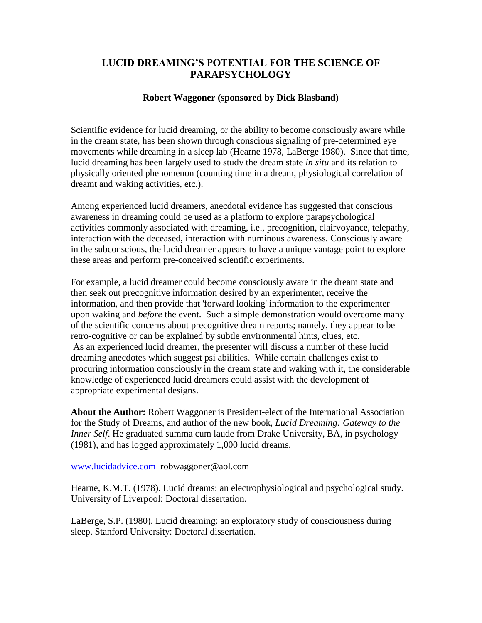# **LUCID DREAMING'S POTENTIAL FOR THE SCIENCE OF PARAPSYCHOLOGY**

## **Robert Waggoner (sponsored by Dick Blasband)**

Scientific evidence for lucid dreaming, or the ability to become consciously aware while in the dream state, has been shown through conscious signaling of pre-determined eye movements while dreaming in a sleep lab (Hearne 1978, LaBerge 1980). Since that time, lucid dreaming has been largely used to study the dream state *in situ* and its relation to physically oriented phenomenon (counting time in a dream, physiological correlation of dreamt and waking activities, etc.).

Among experienced lucid dreamers, anecdotal evidence has suggested that conscious awareness in dreaming could be used as a platform to explore parapsychological activities commonly associated with dreaming, i.e., precognition, clairvoyance, telepathy, interaction with the deceased, interaction with numinous awareness. Consciously aware in the subconscious, the lucid dreamer appears to have a unique vantage point to explore these areas and perform pre-conceived scientific experiments.

For example, a lucid dreamer could become consciously aware in the dream state and then seek out precognitive information desired by an experimenter, receive the information, and then provide that 'forward looking' information to the experimenter upon waking and *before* the event. Such a simple demonstration would overcome many of the scientific concerns about precognitive dream reports; namely, they appear to be retro-cognitive or can be explained by subtle environmental hints, clues, etc. As an experienced lucid dreamer, the presenter will discuss a number of these lucid dreaming anecdotes which suggest psi abilities. While certain challenges exist to procuring information consciously in the dream state and waking with it, the considerable knowledge of experienced lucid dreamers could assist with the development of appropriate experimental designs.

**About the Author:** Robert Waggoner is President-elect of the International Association for the Study of Dreams, and author of the new book, *Lucid Dreaming: Gateway to the Inner Self.* He graduated summa cum laude from Drake University, BA, in psychology (1981), and has logged approximately 1,000 lucid dreams.

[www.lucidadvice.com](http://www.lucidadvice.com/) robwaggoner@aol.com

Hearne, K.M.T. (1978). Lucid dreams: an electrophysiological and psychological study. University of Liverpool: Doctoral dissertation.

LaBerge, S.P. (1980). Lucid dreaming: an exploratory study of consciousness during sleep. Stanford University: Doctoral dissertation.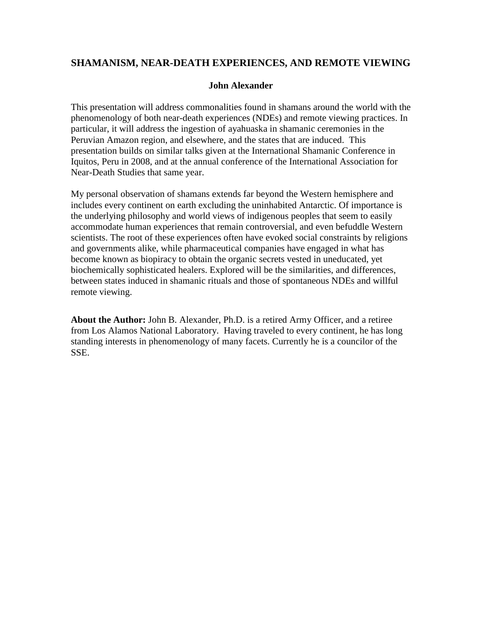# **SHAMANISM, NEAR-DEATH EXPERIENCES, AND REMOTE VIEWING**

#### **John Alexander**

This presentation will address commonalities found in shamans around the world with the phenomenology of both near-death experiences (NDEs) and remote viewing practices. In particular, it will address the ingestion of ayahuaska in shamanic ceremonies in the Peruvian Amazon region, and elsewhere, and the states that are induced. This presentation builds on similar talks given at the International Shamanic Conference in Iquitos, Peru in 2008, and at the annual conference of the International Association for Near-Death Studies that same year.

My personal observation of shamans extends far beyond the Western hemisphere and includes every continent on earth excluding the uninhabited Antarctic. Of importance is the underlying philosophy and world views of indigenous peoples that seem to easily accommodate human experiences that remain controversial, and even befuddle Western scientists. The root of these experiences often have evoked social constraints by religions and governments alike, while pharmaceutical companies have engaged in what has become known as biopiracy to obtain the organic secrets vested in uneducated, yet biochemically sophisticated healers. Explored will be the similarities, and differences, between states induced in shamanic rituals and those of spontaneous NDEs and willful remote viewing.

**About the Author:** John B. Alexander, Ph.D. is a retired Army Officer, and a retiree from Los Alamos National Laboratory. Having traveled to every continent, he has long standing interests in phenomenology of many facets. Currently he is a councilor of the SSE.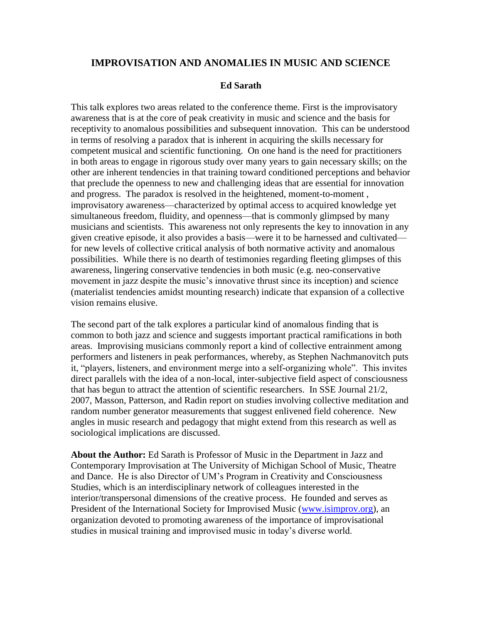## **IMPROVISATION AND ANOMALIES IN MUSIC AND SCIENCE**

#### **Ed Sarath**

This talk explores two areas related to the conference theme. First is the improvisatory awareness that is at the core of peak creativity in music and science and the basis for receptivity to anomalous possibilities and subsequent innovation. This can be understood in terms of resolving a paradox that is inherent in acquiring the skills necessary for competent musical and scientific functioning. On one hand is the need for practitioners in both areas to engage in rigorous study over many years to gain necessary skills; on the other are inherent tendencies in that training toward conditioned perceptions and behavior that preclude the openness to new and challenging ideas that are essential for innovation and progress. The paradox is resolved in the heightened, moment-to-moment , improvisatory awareness—characterized by optimal access to acquired knowledge yet simultaneous freedom, fluidity, and openness—that is commonly glimpsed by many musicians and scientists. This awareness not only represents the key to innovation in any given creative episode, it also provides a basis—were it to be harnessed and cultivated for new levels of collective critical analysis of both normative activity and anomalous possibilities. While there is no dearth of testimonies regarding fleeting glimpses of this awareness, lingering conservative tendencies in both music (e.g. neo-conservative movement in jazz despite the music's innovative thrust since its inception) and science (materialist tendencies amidst mounting research) indicate that expansion of a collective vision remains elusive.

The second part of the talk explores a particular kind of anomalous finding that is common to both jazz and science and suggests important practical ramifications in both areas. Improvising musicians commonly report a kind of collective entrainment among performers and listeners in peak performances, whereby, as Stephen Nachmanovitch puts it, "players, listeners, and environment merge into a self-organizing whole". This invites direct parallels with the idea of a non-local, inter-subjective field aspect of consciousness that has begun to attract the attention of scientific researchers. In SSE Journal 21/2, 2007, Masson, Patterson, and Radin report on studies involving collective meditation and random number generator measurements that suggest enlivened field coherence. New angles in music research and pedagogy that might extend from this research as well as sociological implications are discussed.

**About the Author:** Ed Sarath is Professor of Music in the Department in Jazz and Contemporary Improvisation at The University of Michigan School of Music, Theatre and Dance. He is also Director of UM's Program in Creativity and Consciousness Studies, which is an interdisciplinary network of colleagues interested in the interior/transpersonal dimensions of the creative process. He founded and serves as President of the International Society for Improvised Music [\(www.isimprov.org\)](http://webmail.sjcny.edu/Redirect/www.isimprov.org/), an organization devoted to promoting awareness of the importance of improvisational studies in musical training and improvised music in today's diverse world.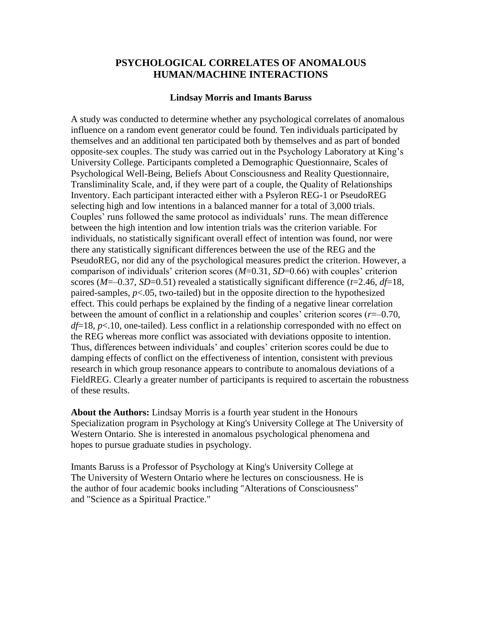## **PSYCHOLOGICAL CORRELATES OF ANOMALOUS HUMAN/MACHINE INTERACTIONS**

#### **Lindsay Morris and Imants Baruss**

A study was conducted to determine whether any psychological correlates of anomalous influence on a random event generator could be found. Ten individuals participated by themselves and an additional ten participated both by themselves and as part of bonded opposite-sex couples. The study was carried out in the Psychology Laboratory at King's University College. Participants completed a Demographic Questionnaire, Scales of Psychological Well-Being, Beliefs About Consciousness and Reality Questionnaire, Transliminality Scale, and, if they were part of a couple, the Quality of Relationships Inventory. Each participant interacted either with a Psyleron REG-1 or PseudoREG selecting high and low intentions in a balanced manner for a total of 3,000 trials. Couples' runs followed the same protocol as individuals' runs. The mean difference between the high intention and low intention trials was the criterion variable. For individuals, no statistically significant overall effect of intention was found, nor were there any statistically significant differences between the use of the REG and the PseudoREG, nor did any of the psychological measures predict the criterion. However, a comparison of individuals' criterion scores (*M*=0.31, *SD*=0.66) with couples' criterion scores (*M*=–0.37, *SD*=0.51) revealed a statistically significant difference (*t*=2.46, *df*=18, paired-samples,  $p<0.05$ , two-tailed) but in the opposite direction to the hypothesized effect. This could perhaps be explained by the finding of a negative linear correlation between the amount of conflict in a relationship and couples' criterion scores (*r*=–0.70, *df*=18, *p*<.10, one-tailed). Less conflict in a relationship corresponded with no effect on the REG whereas more conflict was associated with deviations opposite to intention. Thus, differences between individuals' and couples' criterion scores could be due to damping effects of conflict on the effectiveness of intention, consistent with previous research in which group resonance appears to contribute to anomalous deviations of a FieldREG. Clearly a greater number of participants is required to ascertain the robustness of these results.

**About the Authors:** Lindsay Morris is a fourth year student in the Honours Specialization program in Psychology at King's University College at The University of Western Ontario. She is interested in anomalous psychological phenomena and hopes to pursue graduate studies in psychology.

Imants Baruss is a Professor of Psychology at King's University College at The University of Western Ontario where he lectures on consciousness. He is the author of four academic books including "Alterations of Consciousness" and "Science as a Spiritual Practice."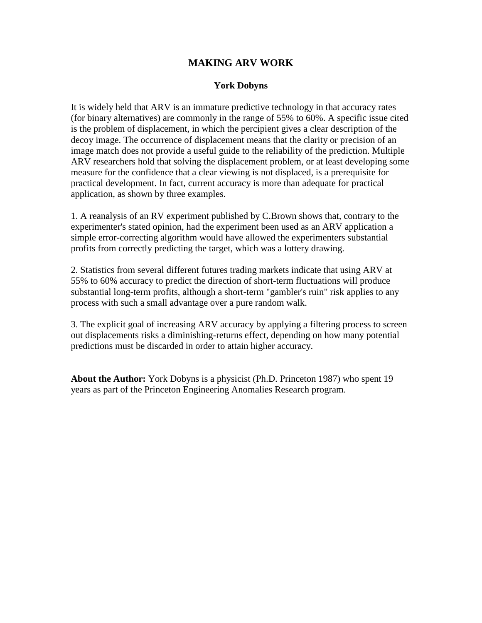## **MAKING ARV WORK**

#### **York Dobyns**

It is widely held that ARV is an immature predictive technology in that accuracy rates (for binary alternatives) are commonly in the range of 55% to 60%. A specific issue cited is the problem of displacement, in which the percipient gives a clear description of the decoy image. The occurrence of displacement means that the clarity or precision of an image match does not provide a useful guide to the reliability of the prediction. Multiple ARV researchers hold that solving the displacement problem, or at least developing some measure for the confidence that a clear viewing is not displaced, is a prerequisite for practical development. In fact, current accuracy is more than adequate for practical application, as shown by three examples.

1. A reanalysis of an RV experiment published by C.Brown shows that, contrary to the experimenter's stated opinion, had the experiment been used as an ARV application a simple error-correcting algorithm would have allowed the experimenters substantial profits from correctly predicting the target, which was a lottery drawing.

2. Statistics from several different futures trading markets indicate that using ARV at 55% to 60% accuracy to predict the direction of short-term fluctuations will produce substantial long-term profits, although a short-term "gambler's ruin" risk applies to any process with such a small advantage over a pure random walk.

3. The explicit goal of increasing ARV accuracy by applying a filtering process to screen out displacements risks a diminishing-returns effect, depending on how many potential predictions must be discarded in order to attain higher accuracy.

**About the Author:** York Dobyns is a physicist (Ph.D. Princeton 1987) who spent 19 years as part of the Princeton Engineering Anomalies Research program.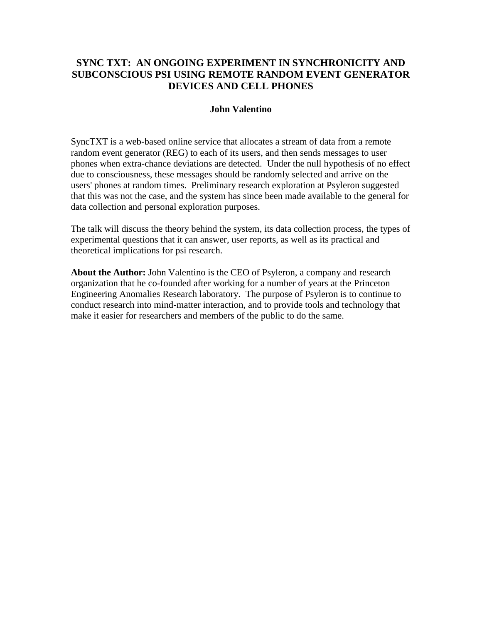# **SYNC TXT: AN ONGOING EXPERIMENT IN SYNCHRONICITY AND SUBCONSCIOUS PSI USING REMOTE RANDOM EVENT GENERATOR DEVICES AND CELL PHONES**

#### **John Valentino**

SyncTXT is a web-based online service that allocates a stream of data from a remote random event generator (REG) to each of its users, and then sends messages to user phones when extra-chance deviations are detected. Under the null hypothesis of no effect due to consciousness, these messages should be randomly selected and arrive on the users' phones at random times. Preliminary research exploration at Psyleron suggested that this was not the case, and the system has since been made available to the general for data collection and personal exploration purposes.

The talk will discuss the theory behind the system, its data collection process, the types of experimental questions that it can answer, user reports, as well as its practical and theoretical implications for psi research.

**About the Author:** John Valentino is the CEO of Psyleron, a company and research organization that he co-founded after working for a number of years at the Princeton Engineering Anomalies Research laboratory. The purpose of Psyleron is to continue to conduct research into mind-matter interaction, and to provide tools and technology that make it easier for researchers and members of the public to do the same.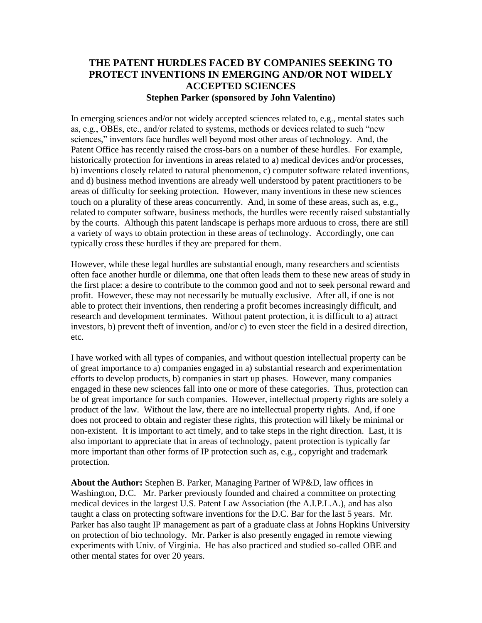# **THE PATENT HURDLES FACED BY COMPANIES SEEKING TO PROTECT INVENTIONS IN EMERGING AND/OR NOT WIDELY ACCEPTED SCIENCES Stephen Parker (sponsored by John Valentino)**

In emerging sciences and/or not widely accepted sciences related to, e.g., mental states such as, e.g., OBEs, etc., and/or related to systems, methods or devices related to such "new sciences," inventors face hurdles well beyond most other areas of technology. And, the Patent Office has recently raised the cross-bars on a number of these hurdles. For example, historically protection for inventions in areas related to a) medical devices and/or processes, b) inventions closely related to natural phenomenon, c) computer software related inventions, and d) business method inventions are already well understood by patent practitioners to be areas of difficulty for seeking protection. However, many inventions in these new sciences touch on a plurality of these areas concurrently. And, in some of these areas, such as, e.g., related to computer software, business methods, the hurdles were recently raised substantially by the courts. Although this patent landscape is perhaps more arduous to cross, there are still a variety of ways to obtain protection in these areas of technology. Accordingly, one can typically cross these hurdles if they are prepared for them.

However, while these legal hurdles are substantial enough, many researchers and scientists often face another hurdle or dilemma, one that often leads them to these new areas of study in the first place: a desire to contribute to the common good and not to seek personal reward and profit. However, these may not necessarily be mutually exclusive. After all, if one is not able to protect their inventions, then rendering a profit becomes increasingly difficult, and research and development terminates. Without patent protection, it is difficult to a) attract investors, b) prevent theft of invention, and/or c) to even steer the field in a desired direction, etc.

I have worked with all types of companies, and without question intellectual property can be of great importance to a) companies engaged in a) substantial research and experimentation efforts to develop products, b) companies in start up phases. However, many companies engaged in these new sciences fall into one or more of these categories. Thus, protection can be of great importance for such companies. However, intellectual property rights are solely a product of the law. Without the law, there are no intellectual property rights. And, if one does not proceed to obtain and register these rights, this protection will likely be minimal or non-existent. It is important to act timely, and to take steps in the right direction. Last, it is also important to appreciate that in areas of technology, patent protection is typically far more important than other forms of IP protection such as, e.g., copyright and trademark protection.

**About the Author:** Stephen B. Parker, Managing Partner of WP&D, law offices in Washington, D.C. Mr. Parker previously founded and chaired a committee on protecting medical devices in the largest U.S. Patent Law Association (the A.I.P.L.A.), and has also taught a class on protecting software inventions for the D.C. Bar for the last 5 years. Mr. Parker has also taught IP management as part of a graduate class at Johns Hopkins University on protection of bio technology. Mr. Parker is also presently engaged in remote viewing experiments with Univ. of Virginia. He has also practiced and studied so-called OBE and other mental states for over 20 years.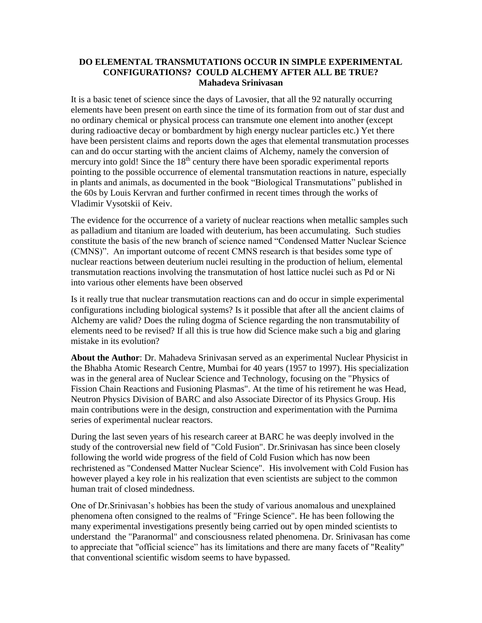#### **DO ELEMENTAL TRANSMUTATIONS OCCUR IN SIMPLE EXPERIMENTAL CONFIGURATIONS? COULD ALCHEMY AFTER ALL BE TRUE? Mahadeva Srinivasan**

It is a basic tenet of science since the days of Lavosier, that all the 92 naturally occurring elements have been present on earth since the time of its formation from out of star dust and no ordinary chemical or physical process can transmute one element into another (except during radioactive decay or bombardment by high energy nuclear particles etc.) Yet there have been persistent claims and reports down the ages that elemental transmutation processes can and do occur starting with the ancient claims of Alchemy, namely the conversion of mercury into gold! Since the  $18<sup>th</sup>$  century there have been sporadic experimental reports pointing to the possible occurrence of elemental transmutation reactions in nature, especially in plants and animals, as documented in the book "Biological Transmutations" published in the 60s by Louis Kervran and further confirmed in recent times through the works of Vladimir Vysotskii of Keiv.

The evidence for the occurrence of a variety of nuclear reactions when metallic samples such as palladium and titanium are loaded with deuterium, has been accumulating. Such studies constitute the basis of the new branch of science named "Condensed Matter Nuclear Science" (CMNS)". An important outcome of recent CMNS research is that besides some type of nuclear reactions between deuterium nuclei resulting in the production of helium, elemental transmutation reactions involving the transmutation of host lattice nuclei such as Pd or Ni into various other elements have been observed

Is it really true that nuclear transmutation reactions can and do occur in simple experimental configurations including biological systems? Is it possible that after all the ancient claims of Alchemy are valid? Does the ruling dogma of Science regarding the non transmutability of elements need to be revised? If all this is true how did Science make such a big and glaring mistake in its evolution?

**About the Author**: Dr. Mahadeva Srinivasan served as an experimental Nuclear Physicist in the Bhabha Atomic Research Centre, Mumbai for 40 years (1957 to 1997). His specialization was in the general area of Nuclear Science and Technology, focusing on the "Physics of Fission Chain Reactions and Fusioning Plasmas". At the time of his retirement he was Head, Neutron Physics Division of BARC and also Associate Director of its Physics Group. His main contributions were in the design, construction and experimentation with the Purnima series of experimental nuclear reactors.

During the last seven years of his research career at BARC he was deeply involved in the study of the controversial new field of "Cold Fusion". Dr.Srinivasan has since been closely following the world wide progress of the field of Cold Fusion which has now been rechristened as "Condensed Matter Nuclear Science". His involvement with Cold Fusion has however played a key role in his realization that even scientists are subject to the common human trait of closed mindedness.

One of Dr.Srinivasan's hobbies has been the study of various anomalous and unexplained phenomena often consigned to the realms of "Fringe Science". He has been following the many experimental investigations presently being carried out by open minded scientists to understand the "Paranormal" and consciousness related phenomena. Dr. Srinivasan has come to appreciate that "official science" has its limitations and there are many facets of "Reality" that conventional scientific wisdom seems to have bypassed.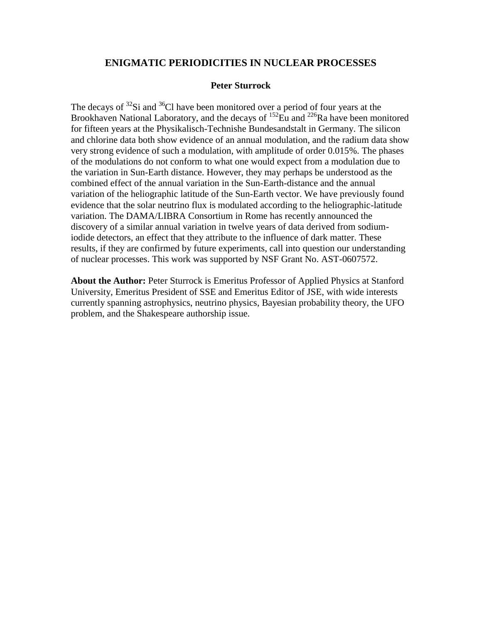## **ENIGMATIC PERIODICITIES IN NUCLEAR PROCESSES**

#### **Peter Sturrock**

The decays of  $32\$ Si and  $36$ Cl have been monitored over a period of four years at the Brookhaven National Laboratory, and the decays of  $^{152}$ Eu and  $^{226}$ Ra have been monitored for fifteen years at the Physikalisch-Technishe Bundesandstalt in Germany. The silicon and chlorine data both show evidence of an annual modulation, and the radium data show very strong evidence of such a modulation, with amplitude of order 0.015%. The phases of the modulations do not conform to what one would expect from a modulation due to the variation in Sun-Earth distance. However, they may perhaps be understood as the combined effect of the annual variation in the Sun-Earth-distance and the annual variation of the heliographic latitude of the Sun-Earth vector. We have previously found evidence that the solar neutrino flux is modulated according to the heliographic-latitude variation. The DAMA/LIBRA Consortium in Rome has recently announced the discovery of a similar annual variation in twelve years of data derived from sodiumiodide detectors, an effect that they attribute to the influence of dark matter. These results, if they are confirmed by future experiments, call into question our understanding of nuclear processes. This work was supported by NSF Grant No. AST-0607572.

**About the Author:** Peter Sturrock is Emeritus Professor of Applied Physics at Stanford University, Emeritus President of SSE and Emeritus Editor of JSE, with wide interests currently spanning astrophysics, neutrino physics, Bayesian probability theory, the UFO problem, and the Shakespeare authorship issue.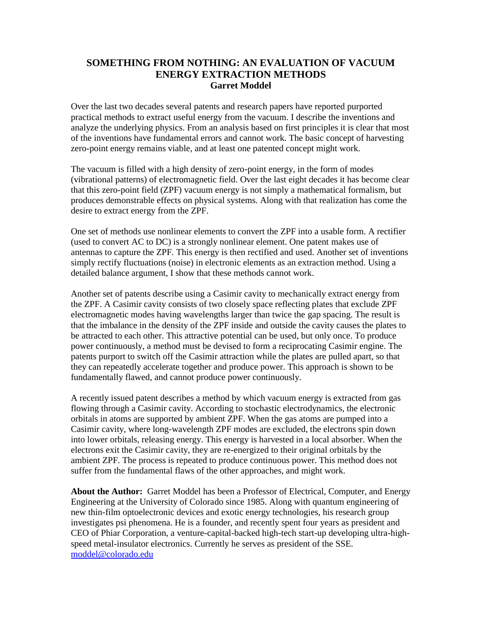# **SOMETHING FROM NOTHING: AN EVALUATION OF VACUUM ENERGY EXTRACTION METHODS Garret Moddel**

Over the last two decades several patents and research papers have reported purported practical methods to extract useful energy from the vacuum. I describe the inventions and analyze the underlying physics. From an analysis based on first principles it is clear that most of the inventions have fundamental errors and cannot work. The basic concept of harvesting zero-point energy remains viable, and at least one patented concept might work.

The vacuum is filled with a high density of zero-point energy, in the form of modes (vibrational patterns) of electromagnetic field. Over the last eight decades it has become clear that this zero-point field (ZPF) vacuum energy is not simply a mathematical formalism, but produces demonstrable effects on physical systems. Along with that realization has come the desire to extract energy from the ZPF.

One set of methods use nonlinear elements to convert the ZPF into a usable form. A rectifier (used to convert AC to DC) is a strongly nonlinear element. One patent makes use of antennas to capture the ZPF. This energy is then rectified and used. Another set of inventions simply rectify fluctuations (noise) in electronic elements as an extraction method. Using a detailed balance argument, I show that these methods cannot work.

Another set of patents describe using a Casimir cavity to mechanically extract energy from the ZPF. A Casimir cavity consists of two closely space reflecting plates that exclude ZPF electromagnetic modes having wavelengths larger than twice the gap spacing. The result is that the imbalance in the density of the ZPF inside and outside the cavity causes the plates to be attracted to each other. This attractive potential can be used, but only once. To produce power continuously, a method must be devised to form a reciprocating Casimir engine. The patents purport to switch off the Casimir attraction while the plates are pulled apart, so that they can repeatedly accelerate together and produce power. This approach is shown to be fundamentally flawed, and cannot produce power continuously.

A recently issued patent describes a method by which vacuum energy is extracted from gas flowing through a Casimir cavity. According to stochastic electrodynamics, the electronic orbitals in atoms are supported by ambient ZPF. When the gas atoms are pumped into a Casimir cavity, where long-wavelength ZPF modes are excluded, the electrons spin down into lower orbitals, releasing energy. This energy is harvested in a local absorber. When the electrons exit the Casimir cavity, they are re-energized to their original orbitals by the ambient ZPF. The process is repeated to produce continuous power. This method does not suffer from the fundamental flaws of the other approaches, and might work.

**About the Author:** Garret Moddel has been a Professor of Electrical, Computer, and Energy Engineering at the University of Colorado since 1985. Along with quantum engineering of new thin-film optoelectronic devices and exotic energy technologies, his research group investigates psi phenomena. He is a founder, and recently spent four years as president and CEO of Phiar Corporation, a venture-capital-backed high-tech start-up developing ultra-highspeed metal-insulator electronics. Currently he serves as president of the SSE. [moddel@colorado.edu](mailto:moddel@colorado.edu)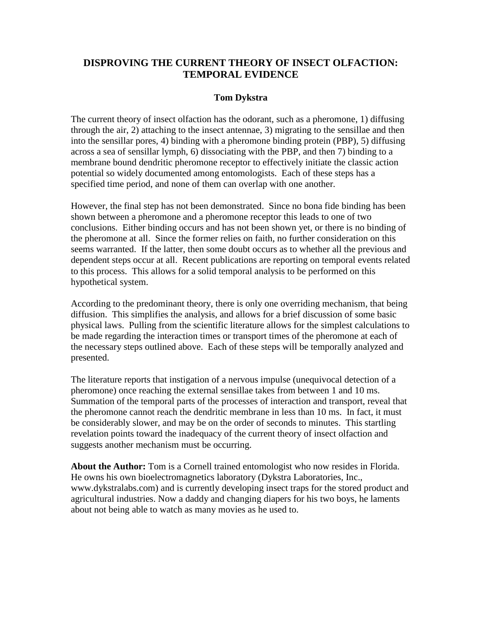# **DISPROVING THE CURRENT THEORY OF INSECT OLFACTION: TEMPORAL EVIDENCE**

## **Tom Dykstra**

The current theory of insect olfaction has the odorant, such as a pheromone, 1) diffusing through the air, 2) attaching to the insect antennae, 3) migrating to the sensillae and then into the sensillar pores, 4) binding with a pheromone binding protein (PBP), 5) diffusing across a sea of sensillar lymph, 6) dissociating with the PBP, and then 7) binding to a membrane bound dendritic pheromone receptor to effectively initiate the classic action potential so widely documented among entomologists. Each of these steps has a specified time period, and none of them can overlap with one another.

However, the final step has not been demonstrated. Since no bona fide binding has been shown between a pheromone and a pheromone receptor this leads to one of two conclusions. Either binding occurs and has not been shown yet, or there is no binding of the pheromone at all. Since the former relies on faith, no further consideration on this seems warranted. If the latter, then some doubt occurs as to whether all the previous and dependent steps occur at all. Recent publications are reporting on temporal events related to this process. This allows for a solid temporal analysis to be performed on this hypothetical system.

According to the predominant theory, there is only one overriding mechanism, that being diffusion. This simplifies the analysis, and allows for a brief discussion of some basic physical laws. Pulling from the scientific literature allows for the simplest calculations to be made regarding the interaction times or transport times of the pheromone at each of the necessary steps outlined above. Each of these steps will be temporally analyzed and presented.

The literature reports that instigation of a nervous impulse (unequivocal detection of a pheromone) once reaching the external sensillae takes from between 1 and 10 ms. Summation of the temporal parts of the processes of interaction and transport, reveal that the pheromone cannot reach the dendritic membrane in less than 10 ms. In fact, it must be considerably slower, and may be on the order of seconds to minutes. This startling revelation points toward the inadequacy of the current theory of insect olfaction and suggests another mechanism must be occurring.

**About the Author:** Tom is a Cornell trained entomologist who now resides in Florida. He owns his own bioelectromagnetics laboratory (Dykstra Laboratories, Inc., www.dykstralabs.com) and is currently developing insect traps for the stored product and agricultural industries. Now a daddy and changing diapers for his two boys, he laments about not being able to watch as many movies as he used to.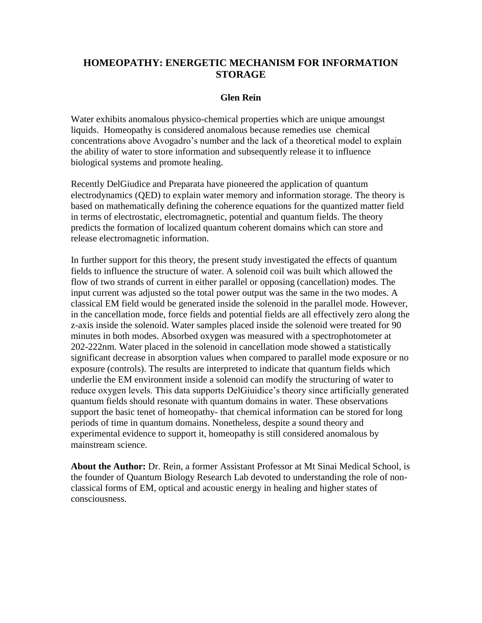# **HOMEOPATHY: ENERGETIC MECHANISM FOR INFORMATION STORAGE**

## **Glen Rein**

Water exhibits anomalous physico-chemical properties which are unique amoungst liquids. Homeopathy is considered anomalous because remedies use chemical concentrations above Avogadro's number and the lack of a theoretical model to explain the ability of water to store information and subsequently release it to influence biological systems and promote healing.

Recently DelGiudice and Preparata have pioneered the application of quantum electrodynamics (QED) to explain water memory and information storage. The theory is based on mathematically defining the coherence equations for the quantized matter field in terms of electrostatic, electromagnetic, potential and quantum fields. The theory predicts the formation of localized quantum coherent domains which can store and release electromagnetic information.

In further support for this theory, the present study investigated the effects of quantum fields to influence the structure of water. A solenoid coil was built which allowed the flow of two strands of current in either parallel or opposing (cancellation) modes. The input current was adjusted so the total power output was the same in the two modes. A classical EM field would be generated inside the solenoid in the parallel mode. However, in the cancellation mode, force fields and potential fields are all effectively zero along the z-axis inside the solenoid. Water samples placed inside the solenoid were treated for 90 minutes in both modes. Absorbed oxygen was measured with a spectrophotometer at 202-222nm. Water placed in the solenoid in cancellation mode showed a statistically significant decrease in absorption values when compared to parallel mode exposure or no exposure (controls). The results are interpreted to indicate that quantum fields which underlie the EM environment inside a solenoid can modify the structuring of water to reduce oxygen levels. This data supports DelGiuidice's theory since artificially generated quantum fields should resonate with quantum domains in water. These observations support the basic tenet of homeopathy- that chemical information can be stored for long periods of time in quantum domains. Nonetheless, despite a sound theory and experimental evidence to support it, homeopathy is still considered anomalous by mainstream science.

**About the Author:** Dr. Rein, a former Assistant Professor at Mt Sinai Medical School, is the founder of Quantum Biology Research Lab devoted to understanding the role of nonclassical forms of EM, optical and acoustic energy in healing and higher states of consciousness.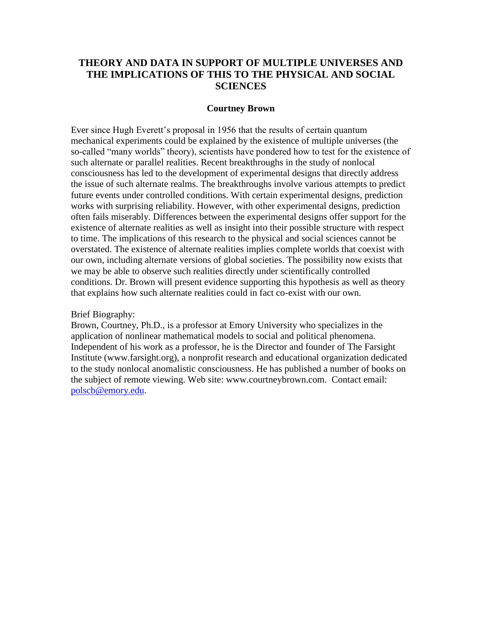# **THEORY AND DATA IN SUPPORT OF MULTIPLE UNIVERSES AND THE IMPLICATIONS OF THIS TO THE PHYSICAL AND SOCIAL SCIENCES**

#### **Courtney Brown**

Ever since Hugh Everett's proposal in 1956 that the results of certain quantum mechanical experiments could be explained by the existence of multiple universes (the so-called "many worlds" theory), scientists have pondered how to test for the existence of such alternate or parallel realities. Recent breakthroughs in the study of nonlocal consciousness has led to the development of experimental designs that directly address the issue of such alternate realms. The breakthroughs involve various attempts to predict future events under controlled conditions. With certain experimental designs, prediction works with surprising reliability. However, with other experimental designs, prediction often fails miserably. Differences between the experimental designs offer support for the existence of alternate realities as well as insight into their possible structure with respect to time. The implications of this research to the physical and social sciences cannot be overstated. The existence of alternate realities implies complete worlds that coexist with our own, including alternate versions of global societies. The possibility now exists that we may be able to observe such realities directly under scientifically controlled conditions. Dr. Brown will present evidence supporting this hypothesis as well as theory that explains how such alternate realities could in fact co-exist with our own.

#### Brief Biography:

Brown, Courtney, Ph.D., is a professor at Emory University who specializes in the application of nonlinear mathematical models to social and political phenomena. Independent of his work as a professor, he is the Director and founder of The Farsight Institute (www.farsight.org), a nonprofit research and educational organization dedicated to the study nonlocal anomalistic consciousness. He has published a number of books on the subject of remote viewing. Web site: www.courtneybrown.com. Contact email: [polscb@emory.edu.](mailto:polscb@emory.edu)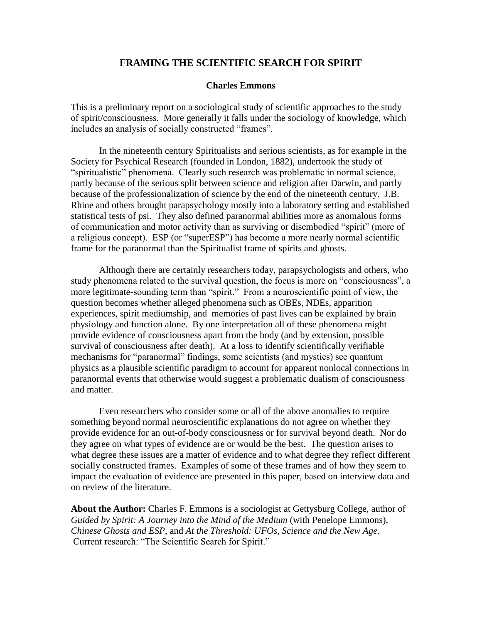## **FRAMING THE SCIENTIFIC SEARCH FOR SPIRIT**

#### **Charles Emmons**

This is a preliminary report on a sociological study of scientific approaches to the study of spirit/consciousness. More generally it falls under the sociology of knowledge, which includes an analysis of socially constructed "frames".

In the nineteenth century Spiritualists and serious scientists, as for example in the Society for Psychical Research (founded in London, 1882), undertook the study of "spiritualistic" phenomena. Clearly such research was problematic in normal science, partly because of the serious split between science and religion after Darwin, and partly because of the professionalization of science by the end of the nineteenth century. J.B. Rhine and others brought parapsychology mostly into a laboratory setting and established statistical tests of psi. They also defined paranormal abilities more as anomalous forms of communication and motor activity than as surviving or disembodied "spirit" (more of a religious concept). ESP (or "superESP") has become a more nearly normal scientific frame for the paranormal than the Spiritualist frame of spirits and ghosts.

Although there are certainly researchers today, parapsychologists and others, who study phenomena related to the survival question, the focus is more on "consciousness", a more legitimate-sounding term than "spirit." From a neuroscientific point of view, the question becomes whether alleged phenomena such as OBEs, NDEs, apparition experiences, spirit mediumship, and memories of past lives can be explained by brain physiology and function alone. By one interpretation all of these phenomena might provide evidence of consciousness apart from the body (and by extension, possible survival of consciousness after death). At a loss to identify scientifically verifiable mechanisms for "paranormal" findings, some scientists (and mystics) see quantum physics as a plausible scientific paradigm to account for apparent nonlocal connections in paranormal events that otherwise would suggest a problematic dualism of consciousness and matter.

Even researchers who consider some or all of the above anomalies to require something beyond normal neuroscientific explanations do not agree on whether they provide evidence for an out-of-body consciousness or for survival beyond death. Nor do they agree on what types of evidence are or would be the best. The question arises to what degree these issues are a matter of evidence and to what degree they reflect different socially constructed frames. Examples of some of these frames and of how they seem to impact the evaluation of evidence are presented in this paper, based on interview data and on review of the literature.

**About the Author:** Charles F. Emmons is a sociologist at Gettysburg College, author of *Guided by Spirit: A Journey into the Mind of the Medium* (with Penelope Emmons), *Chinese Ghosts and ESP*, and *At the Threshold: UFOs, Science and the New Age*. Current research: "The Scientific Search for Spirit."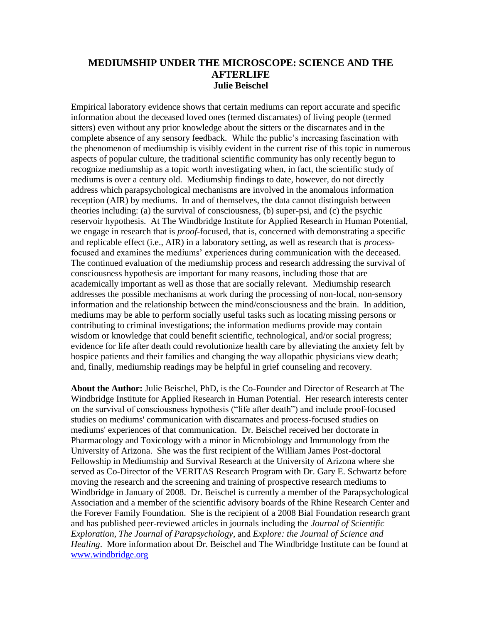## **MEDIUMSHIP UNDER THE MICROSCOPE: SCIENCE AND THE AFTERLIFE Julie Beischel**

Empirical laboratory evidence shows that certain mediums can report accurate and specific information about the deceased loved ones (termed discarnates) of living people (termed sitters) even without any prior knowledge about the sitters or the discarnates and in the complete absence of any sensory feedback. While the public's increasing fascination with the phenomenon of mediumship is visibly evident in the current rise of this topic in numerous aspects of popular culture, the traditional scientific community has only recently begun to recognize mediumship as a topic worth investigating when, in fact, the scientific study of mediums is over a century old. Mediumship findings to date, however, do not directly address which parapsychological mechanisms are involved in the anomalous information reception (AIR) by mediums. In and of themselves, the data cannot distinguish between theories including: (a) the survival of consciousness, (b) super-psi, and (c) the psychic reservoir hypothesis. At The Windbridge Institute for Applied Research in Human Potential, we engage in research that is *proof*-focused, that is, concerned with demonstrating a specific and replicable effect (i.e., AIR) in a laboratory setting, as well as research that is *process*focused and examines the mediums' experiences during communication with the deceased. The continued evaluation of the mediumship process and research addressing the survival of consciousness hypothesis are important for many reasons, including those that are academically important as well as those that are socially relevant. Mediumship research addresses the possible mechanisms at work during the processing of non-local, non-sensory information and the relationship between the mind/consciousness and the brain. In addition, mediums may be able to perform socially useful tasks such as locating missing persons or contributing to criminal investigations; the information mediums provide may contain wisdom or knowledge that could benefit scientific, technological, and/or social progress; evidence for life after death could revolutionize health care by alleviating the anxiety felt by hospice patients and their families and changing the way allopathic physicians view death; and, finally, mediumship readings may be helpful in grief counseling and recovery.

**About the Author:** Julie Beischel, PhD, is the Co-Founder and Director of Research at The Windbridge Institute for Applied Research in Human Potential. Her research interests center on the survival of consciousness hypothesis ("life after death") and include proof-focused studies on mediums' communication with discarnates and process-focused studies on mediums' experiences of that communication. Dr. Beischel received her doctorate in Pharmacology and Toxicology with a minor in Microbiology and Immunology from the University of Arizona. She was the first recipient of the William James Post-doctoral Fellowship in Mediumship and Survival Research at the University of Arizona where she served as Co-Director of the VERITAS Research Program with Dr. Gary E. Schwartz before moving the research and the screening and training of prospective research mediums to Windbridge in January of 2008. Dr. Beischel is currently a member of the Parapsychological Association and a member of the scientific advisory boards of the Rhine Research Center and the Forever Family Foundation. She is the recipient of a 2008 Bial Foundation research grant and has published peer-reviewed articles in journals including the *Journal of Scientific Exploration*, *The Journal of Parapsychology*, and *Explore: the Journal of Science and Healing*. More information about Dr. Beischel and The Windbridge Institute can be found at [www.windbridge.org](http://www.windbridge.org/)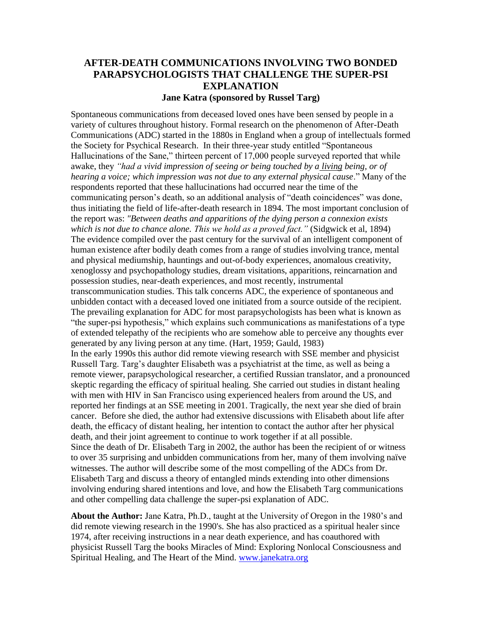## **AFTER-DEATH COMMUNICATIONS INVOLVING TWO BONDED PARAPSYCHOLOGISTS THAT CHALLENGE THE SUPER-PSI EXPLANATION Jane Katra (sponsored by Russel Targ)**

Spontaneous communications from deceased loved ones have been sensed by people in a variety of cultures throughout history. Formal research on the phenomenon of After-Death Communications (ADC) started in the 1880s in England when a group of intellectuals formed the Society for Psychical Research. In their three-year study entitled "Spontaneous Hallucinations of the Sane," thirteen percent of 17,000 people surveyed reported that while awake, they *"had a vivid impression of seeing or being touched by a living being, or of hearing a voice; which impression was not due to any external physical cause*." Many of the respondents reported that these hallucinations had occurred near the time of the communicating person's death, so an additional analysis of "death coincidences" was done, thus initiating the field of life-after-death research in 1894. The most important conclusion of the report was: *"Between deaths and apparitions of the dying person a connexion exists which is not due to chance alone. This we hold as a proved fact."* (Sidgwick et al, 1894) The evidence compiled over the past century for the survival of an intelligent component of human existence after bodily death comes from a range of studies involving trance, mental and physical mediumship, hauntings and out-of-body experiences, anomalous creativity, xenoglossy and psychopathology studies, dream visitations, apparitions, reincarnation and possession studies, near-death experiences, and most recently, instrumental transcommunication studies. This talk concerns ADC, the experience of spontaneous and unbidden contact with a deceased loved one initiated from a source outside of the recipient. The prevailing explanation for ADC for most parapsychologists has been what is known as "the super-psi hypothesis," which explains such communications as manifestations of a type of extended telepathy of the recipients who are somehow able to perceive any thoughts ever generated by any living person at any time. (Hart, 1959; Gauld, 1983) In the early 1990s this author did remote viewing research with SSE member and physicist Russell Targ. Targ's daughter Elisabeth was a psychiatrist at the time, as well as being a remote viewer, parapsychological researcher, a certified Russian translator, and a pronounced skeptic regarding the efficacy of spiritual healing. She carried out studies in distant healing with men with HIV in San Francisco using experienced healers from around the US, and reported her findings at an SSE meeting in 2001. Tragically, the next year she died of brain cancer. Before she died, the author had extensive discussions with Elisabeth about life after death, the efficacy of distant healing, her intention to contact the author after her physical death, and their joint agreement to continue to work together if at all possible. Since the death of Dr. Elisabeth Targ in 2002, the author has been the recipient of or witness to over 35 surprising and unbidden communications from her, many of them involving naïve witnesses. The author will describe some of the most compelling of the ADCs from Dr. Elisabeth Targ and discuss a theory of entangled minds extending into other dimensions involving enduring shared intentions and love, and how the Elisabeth Targ communications and other compelling data challenge the super-psi explanation of ADC.

**About the Author:** Jane Katra, Ph.D., taught at the University of Oregon in the 1980's and did remote viewing research in the 1990's. She has also practiced as a spiritual healer since 1974, after receiving instructions in a near death experience, and has coauthored with physicist Russell Targ the books Miracles of Mind: Exploring Nonlocal Consciousness and Spiritual Healing, and The Heart of the Mind. [www.janekatra.org](http://www.janekatra.org/)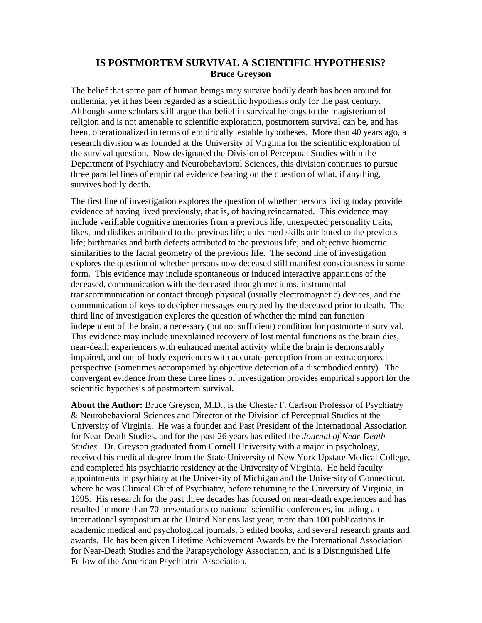## **IS POSTMORTEM SURVIVAL A SCIENTIFIC HYPOTHESIS? Bruce Greyson**

The belief that some part of human beings may survive bodily death has been around for millennia, yet it has been regarded as a scientific hypothesis only for the past century. Although some scholars still argue that belief in survival belongs to the magisterium of religion and is not amenable to scientific exploration, postmortem survival can be, and has been, operationalized in terms of empirically testable hypotheses. More than 40 years ago, a research division was founded at the University of Virginia for the scientific exploration of the survival question. Now designated the Division of Perceptual Studies within the Department of Psychiatry and Neurobehavioral Sciences, this division continues to pursue three parallel lines of empirical evidence bearing on the question of what, if anything, survives bodily death.

The first line of investigation explores the question of whether persons living today provide evidence of having lived previously, that is, of having reincarnated. This evidence may include verifiable cognitive memories from a previous life; unexpected personality traits, likes, and dislikes attributed to the previous life; unlearned skills attributed to the previous life; birthmarks and birth defects attributed to the previous life; and objective biometric similarities to the facial geometry of the previous life. The second line of investigation explores the question of whether persons now deceased still manifest consciousness in some form. This evidence may include spontaneous or induced interactive apparitions of the deceased, communication with the deceased through mediums, instrumental transcommunication or contact through physical (usually electromagnetic) devices, and the communication of keys to decipher messages encrypted by the deceased prior to death. The third line of investigation explores the question of whether the mind can function independent of the brain, a necessary (but not sufficient) condition for postmortem survival. This evidence may include unexplained recovery of lost mental functions as the brain dies, near-death experiencers with enhanced mental activity while the brain is demonstrably impaired, and out-of-body experiences with accurate perception from an extracorporeal perspective (sometimes accompanied by objective detection of a disembodied entity). The convergent evidence from these three lines of investigation provides empirical support for the scientific hypothesis of postmortem survival.

**About the Author:** Bruce Greyson, M.D., is the Chester F. Carlson Professor of Psychiatry & Neurobehavioral Sciences and Director of the Division of Perceptual Studies at the University of Virginia. He was a founder and Past President of the International Association for Near-Death Studies, and for the past 26 years has edited the *Journal of Near-Death Studies*. Dr. Greyson graduated from Cornell University with a major in psychology, received his medical degree from the State University of New York Upstate Medical College, and completed his psychiatric residency at the University of Virginia. He held faculty appointments in psychiatry at the University of Michigan and the University of Connecticut, where he was Clinical Chief of Psychiatry, before returning to the University of Virginia, in 1995. His research for the past three decades has focused on near-death experiences and has resulted in more than 70 presentations to national scientific conferences, including an international symposium at the United Nations last year, more than 100 publications in academic medical and psychological journals, 3 edited books, and several research grants and awards. He has been given Lifetime Achievement Awards by the International Association for Near-Death Studies and the Parapsychology Association, and is a Distinguished Life Fellow of the American Psychiatric Association.